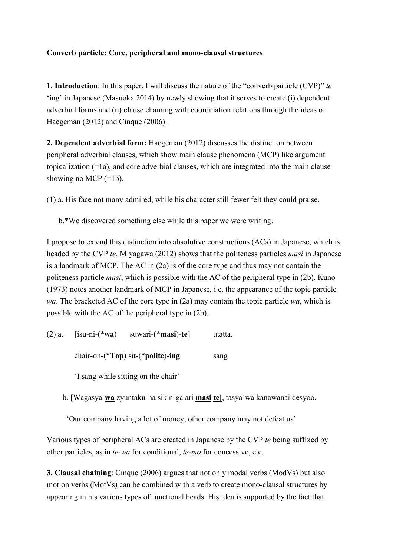## **Converb particle: Core, peripheral and mono-clausal structures**

**1. Introduction**: In this paper, I will discuss the nature of the "converb particle (CVP)" *te* 'ing' in Japanese (Masuoka 2014) by newly showing that it serves to create (i) dependent adverbial forms and (ii) clause chaining with coordination relations through the ideas of Haegeman (2012) and Cinque (2006).

**2. Dependent adverbial form:** Haegeman (2012) discusses the distinction between peripheral adverbial clauses, which show main clause phenomena (MCP) like argument topicalization (=1a), and core adverbial clauses, which are integrated into the main clause showing no MCP (=1b).

(1) a. His face not many admired, while his character still fewer felt they could praise.

b.\*We discovered something else while this paper we were writing.

I propose to extend this distinction into absolutive constructions (ACs) in Japanese, which is headed by the CVP *te.* Miyagawa (2012) shows that the politeness particles *masi* in Japanese is a landmark of MCP. The AC in (2a) is of the core type and thus may not contain the politeness particle *masi*, which is possible with the AC of the peripheral type in (2b). Kuno (1973) notes another landmark of MCP in Japanese, i.e. the appearance of the topic particle *wa*. The bracketed AC of the core type in (2a) may contain the topic particle *wa*, which is possible with the AC of the peripheral type in (2b).

| $(2)$ a. | $[isu-ni-(*wa)]$                         | suwari- $(*$ <b>masi</b> )-te] | utatta. |
|----------|------------------------------------------|--------------------------------|---------|
|          | chair-on- $(*Top)$ sit- $(*polite)$ -ing |                                | sang    |

'I sang while sitting on the chair'

b. [Wagasya-**wa** zyuntaku-na sikin-ga ari **masi te]**, tasya-wa kanawanai desyoo**.**

'Our company having a lot of money, other company may not defeat us'

Various types of peripheral ACs are created in Japanese by the CVP *te* being suffixed by other particles, as in *te-wa* for conditional, *te-mo* for concessive, etc.

**3. Clausal chaining**: Cinque (2006) argues that not only modal verbs (ModVs) but also motion verbs (MotVs) can be combined with a verb to create mono-clausal structures by appearing in his various types of functional heads. His idea is supported by the fact that